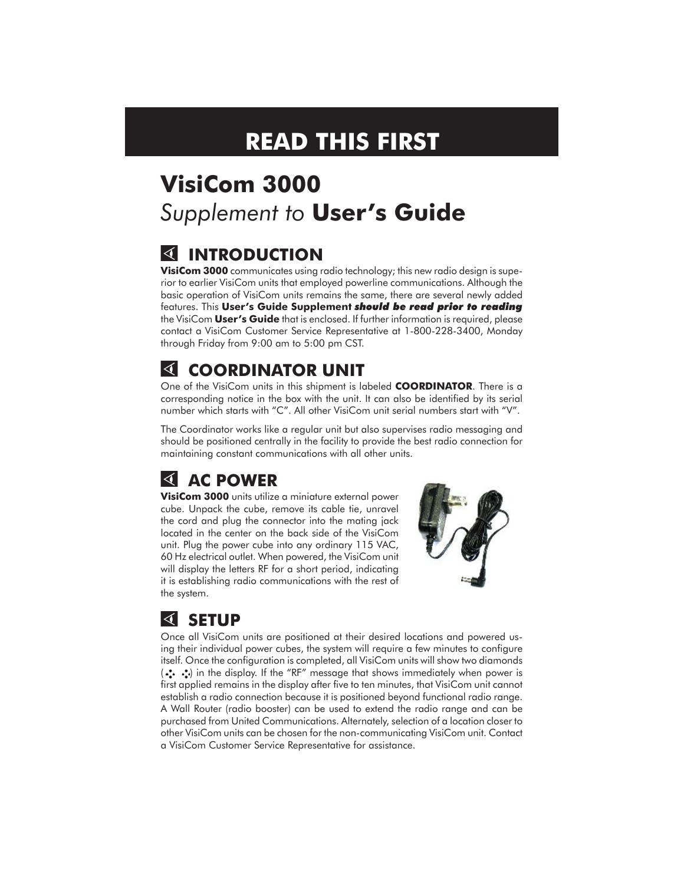# **READ THIS FIRST**

# **VisiCom 3000** *Supplement to* **User's Guide**

# **INTRODUCTION**

**VisiCom 3000** communicates using radio technology; this new radio design is superior to earlier VisiCom units that employed powerline communications. Although the basic operation of VisiCom units remains the same, there are several newly added features. This **User's Guide Supplement** *should be read prior to reading* the VisiCom **User's Guide** that is enclosed. If further information is required, please contact a VisiCom Customer Service Representative at 1-800-228-3400, Monday through Friday from 9:00 am to 5:00 pm CST.

# **COORDINATOR UNIT**

One of the VisiCom units in this shipment is labeled **COORDINATOR**. There is a corresponding notice in the box with the unit. It can also be identified by its serial number which starts with "C". All other VisiCom unit serial numbers start with "V".

The Coordinator works like a regular unit but also supervises radio messaging and should be positioned centrally in the facility to provide the best radio connection for maintaining constant communications with all other units.

# **AC POWER**

**VisiCom 3000** units utilize a miniature external power cube. Unpack the cube, remove its cable tie, unravel the cord and plug the connector into the mating jack located in the center on the back side of the VisiCom unit. Plug the power cube into any ordinary 115 VAC, 60 Hz electrical outlet. When powered, the VisiCom unit will display the letters RF for a short period, indicating it is establishing radio communications with the rest of the system.



# **SETUP**

Once all VisiCom units are positioned at their desired locations and powered using their individual power cubes, the system will require a few minutes to configure itself. Once the configuration is completed, all VisiCom units will show two diamonds (••• •••) in the display. If the "RF" message that shows immediately when power is first applied remains in the display after five to ten minutes, that VisiCom unit cannot establish a radio connection because it is positioned beyond functional radio range. A Wall Router (radio booster) can be used to extend the radio range and can be purchased from United Communications. Alternately, selection of a location closer to other VisiCom units can be chosen for the non-communicating VisiCom unit. Contact a VisiCom Customer Service Representative for assistance.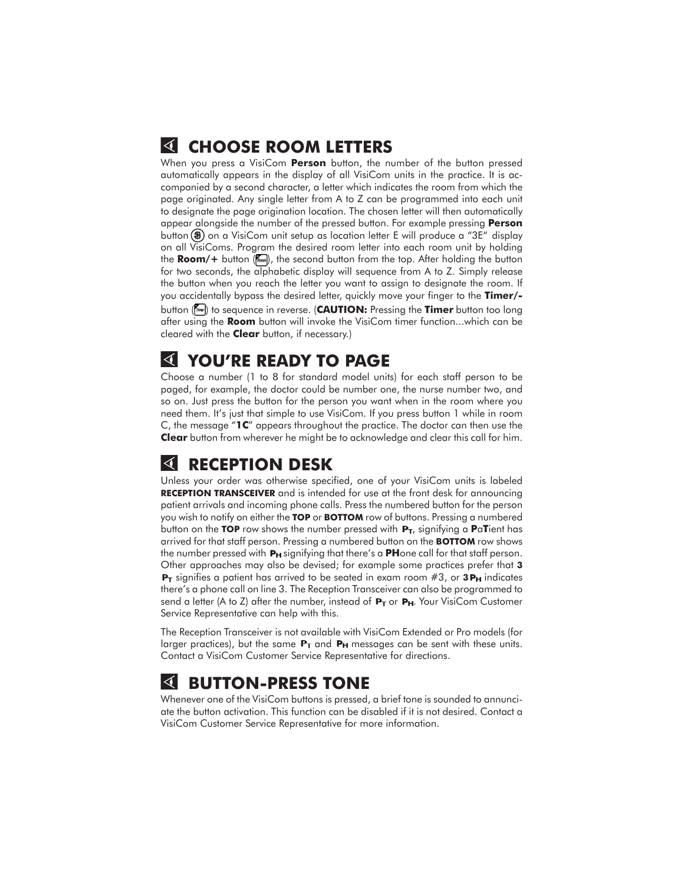## **CHOOSE ROOM LETTERS**

When you press a VisiCom **Person** button, the number of the button pressed automatically appears in the display of all VisiCom units in the practice. It is accompanied by a second character, a letter which indicates the room from which the page originated. Any single letter from A to Z can be programmed into each unit to designate the page origination location. The chosen letter will then automatically appear alongside the number of the pressed button. For example pressing **Person** button (<sup>3</sup>) on a VisiCom unit setup as location letter E will produce a "3E" display on all VisiComs. Program the desired room letter into each room unit by holding the **Room/+** button (in ), the second button from the top. After holding the button for two seconds, the alphabetic display will sequence from A to Z. Simply release the button when you reach the letter you want to assign to designate the room. If you accidentally bypass the desired letter, quickly move your finger to the **Timer/** button (**w**) to sequence in reverse. (**CAUTION:** Pressing the **Timer** button too long after using the **Room** button will invoke the VisiCom timer function...which can be cleared with the **Clear** button, if necessary.)

#### **YOU'RE READY TO PAGE**

Choose a number (1 to 8 for standard model units) for each staff person to be paged, for example, the doctor could be number one, the nurse number two, and so on. Just press the button for the person you want when in the room where you need them. It's just that simple to use VisiCom. If you press button 1 while in room C, the message "**1C**" appears throughout the practice. The doctor can then use the **Clear** button from wherever he might be to acknowledge and clear this call for him.

### **RECEPTION DESK**

Unless your order was otherwise specified, one of your VisiCom units is labeled **RECEPTION TRANSCEIVER** and is intended for use at the front desk for announcing patient arrivals and incoming phone calls. Press the numbered button for the person you wish to notify on either the **TOP** or **BOTTOM** row of buttons. Pressing a numbered button on the **TOP** row shows the number pressed with  $P_T$ , signifying a **PaT**ient has arrived for that staff person. Pressing a numbered button on the **BOTTOM** row shows the number pressed with **P<sub>H</sub>** signifying that there's a **PH**one call for that staff person. Other approaches may also be devised; for example some practices prefer that **3**  $P_T$  signifies a patient has arrived to be seated in exam room  $#3$ , or **3P<sub>H</sub>** indicates there's a phone call on line 3. The Reception Transceiver can also be programmed to send a letter (A to Z) after the number, instead of  $P_T$  or  $P_H$ . Your VisiCom Customer Service Representative can help with this.

The Reception Transceiver is not available with VisiCom Extended or Pro models (for larger practices), but the same  $P_T$  and  $P_H$  messages can be sent with these units. Contact a VisiCom Customer Service Representative for directions.

### **BUTTON-PRESS TONE**

Whenever one of the VisiCom buttons is pressed, a brief tone is sounded to annunciate the button activation. This function can be disabled if it is not desired. Contact a VisiCom Customer Service Representative for more information.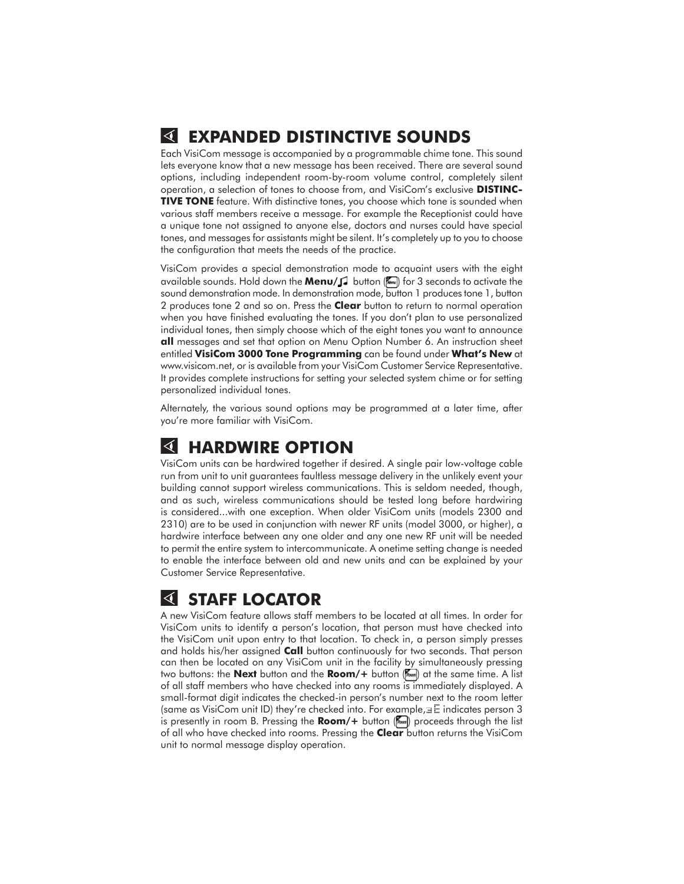#### **EXPANDED DISTINCTIVE SOUNDS**

Each VisiCom message is accompanied by a programmable chime tone. This sound lets everyone know that a new message has been received. There are several sound options, including independent room-by-room volume control, completely silent operation, a selection of tones to choose from, and VisiCom's exclusive **DISTINC-TIVE TONE** feature. With distinctive tones, you choose which tone is sounded when various staff members receive a message. For example the Receptionist could have a unique tone not assigned to anyone else, doctors and nurses could have special tones, and messages for assistants might be silent. It's completely up to you to choose the configuration that meets the needs of the practice.

VisiCom provides a special demonstration mode to acquaint users with the eight available sounds. Hold down the **Menu/**  $\int$  button (**Refect)** for 3 seconds to activate the sound demonstration mode. In demonstration mode, button 1 produces tone 1, button 2 produces tone 2 and so on. Press the **Clear** button to return to normal operation when you have finished evaluating the tones. If you don't plan to use personalized individual tones, then simply choose which of the eight tones you want to announce **all** messages and set that option on Menu Option Number 6. An instruction sheet entitled **VisiCom 3000 Tone Programming** can be found under **What's New** at www.visicom.net, or is available from your VisiCom Customer Service Representative. It provides complete instructions for setting your selected system chime or for setting personalized individual tones.

Alternately, the various sound options may be programmed at a later time, after you're more familiar with VisiCom.

#### **HARDWIRE OPTION**

VisiCom units can be hardwired together if desired. A single pair low-voltage cable run from unit to unit guarantees faultless message delivery in the unlikely event your building cannot support wireless communications. This is seldom needed, though, and as such, wireless communications should be tested long before hardwiring is considered...with one exception. When older VisiCom units (models 2300 and 2310) are to be used in conjunction with newer RF units (model 3000, or higher), a hardwire interface between any one older and any one new RF unit will be needed to permit the entire system to intercommunicate. A onetime setting change is needed to enable the interface between old and new units and can be explained by your Customer Service Representative.

### **STAFF LOCATOR**

A new VisiCom feature allows staff members to be located at all times. In order for VisiCom units to identify a person's location, that person must have checked into the VisiCom unit upon entry to that location. To check in, a person simply presses and holds his/her assigned **Call** button continuously for two seconds. That person can then be located on any VisiCom unit in the facility by simultaneously pressing two buttons: the **Next** button and the **Room/+** button (with at the same time. A list of all staff members who have checked into any rooms is immediately displayed. A small-format digit indicates the checked-in person's number next to the room letter (same as VisiCom unit ID) they're checked into. For example,  $\equiv$  indicates person 3 is presently in room B. Pressing the **Room/+** button (...) proceeds through the list of all who have checked into rooms. Pressing the **Clear** button returns the VisiCom unit to normal message display operation.